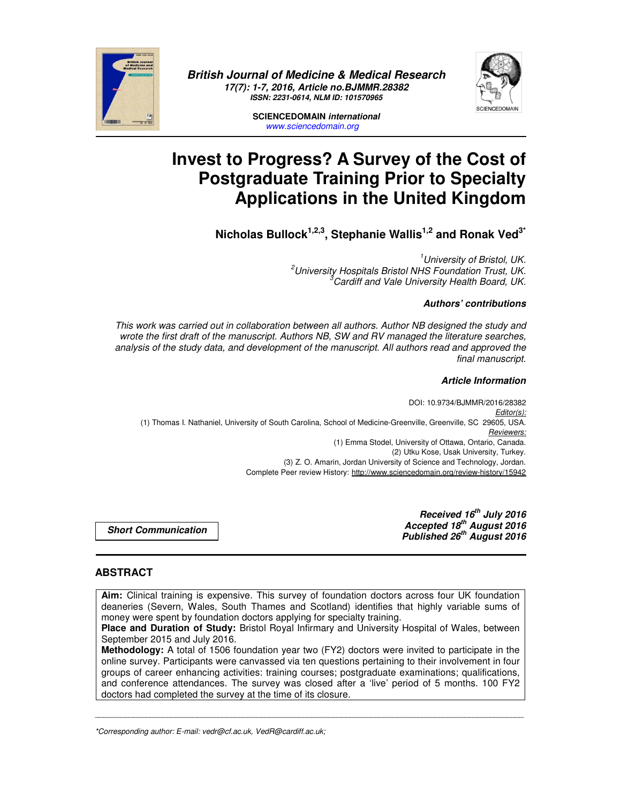

*British Journal of Medicine & Medical Research 17(7): 1-7, 2016, Article no.BJMMR.28382 ISSN: 2231-0614, NLM ID: 101570965* 



**SCIENCEDOMAIN** *international www.sciencedomain.org*

# **Invest to Progress? A Survey of the Cost of Postgraduate Training Prior to Specialty Applications in the United Kingdom**

**Nicholas Bullock1,2,3, Stephanie Wallis1,2 and Ronak Ved3\***

*<sup>1</sup>University of Bristol, UK. <sup>2</sup>University Hospitals Bristol NHS Foundation Trust, UK. <sup>3</sup>Cardiff and Vale University Health Board, UK.* 

## *Authors' contributions*

*This work was carried out in collaboration between all authors. Author NB designed the study and wrote the first draft of the manuscript. Authors NB, SW and RV managed the literature searches, analysis of the study data, and development of the manuscript. All authors read and approved the final manuscript.* 

## *Article Information*

DOI: 10.9734/BJMMR/2016/28382 *Editor(s):* (1) Thomas I. Nathaniel, University of South Carolina, School of Medicine-Greenville, Greenville, SC 29605, USA. *Reviewers:* (1) Emma Stodel, University of Ottawa, Ontario, Canada. (2) Utku Kose, Usak University, Turkey. (3) Z. O. Amarin, Jordan University of Science and Technology, Jordan. Complete Peer review History: http://www.sciencedomain.org/review-history/15942

*Short Communication*

*Received 16th July 2016 Accepted 18th August 2016 Published 26th August 2016*

## **ABSTRACT**

**Aim:** Clinical training is expensive. This survey of foundation doctors across four UK foundation deaneries (Severn, Wales, South Thames and Scotland) identifies that highly variable sums of money were spent by foundation doctors applying for specialty training.

**Place and Duration of Study:** Bristol Royal Infirmary and University Hospital of Wales, between September 2015 and July 2016.

**Methodology:** A total of 1506 foundation year two (FY2) doctors were invited to participate in the online survey. Participants were canvassed via ten questions pertaining to their involvement in four groups of career enhancing activities: training courses; postgraduate examinations; qualifications, and conference attendances. The survey was closed after a 'live' period of 5 months. 100 FY2 doctors had completed the survey at the time of its closure.

\_\_\_\_\_\_\_\_\_\_\_\_\_\_\_\_\_\_\_\_\_\_\_\_\_\_\_\_\_\_\_\_\_\_\_\_\_\_\_\_\_\_\_\_\_\_\_\_\_\_\_\_\_\_\_\_\_\_\_\_\_\_\_\_\_\_\_\_\_\_\_\_\_\_\_\_\_\_\_\_\_\_\_\_\_\_\_\_\_\_\_\_\_\_\_\_\_\_\_\_\_

*<sup>\*</sup>Corresponding author: E-mail: vedr@cf.ac.uk, VedR@cardiff.ac.uk;*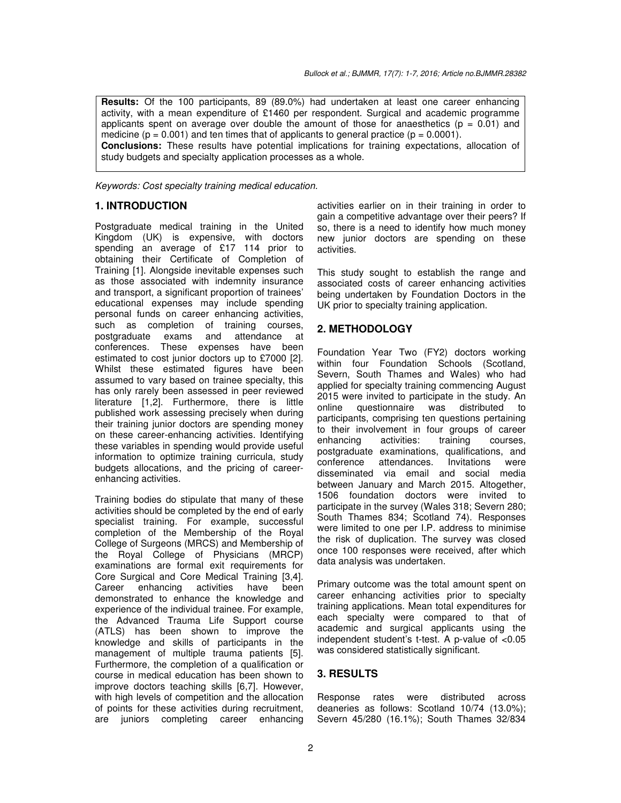**Results:** Of the 100 participants, 89 (89.0%) had undertaken at least one career enhancing activity, with a mean expenditure of £1460 per respondent. Surgical and academic programme applicants spent on average over double the amount of those for anaesthetics ( $p = 0.01$ ) and medicine ( $p = 0.001$ ) and ten times that of applicants to general practice ( $p = 0.0001$ ). **Conclusions:** These results have potential implications for training expectations, allocation of study budgets and specialty application processes as a whole.

*Keywords: Cost specialty training medical education.* 

# **1. INTRODUCTION**

Postgraduate medical training in the United Kingdom (UK) is expensive, with doctors spending an average of £17 114 prior to obtaining their Certificate of Completion of Training [1]. Alongside inevitable expenses such as those associated with indemnity insurance and transport, a significant proportion of trainees' educational expenses may include spending personal funds on career enhancing activities, such as completion of training courses, postgraduate exams and attendance at conferences. These expenses have been estimated to cost junior doctors up to £7000 [2]. Whilst these estimated figures have been assumed to vary based on trainee specialty, this has only rarely been assessed in peer reviewed literature [1,2]. Furthermore, there is little published work assessing precisely when during their training junior doctors are spending money on these career-enhancing activities. Identifying these variables in spending would provide useful information to optimize training curricula, study budgets allocations, and the pricing of careerenhancing activities.

Training bodies do stipulate that many of these activities should be completed by the end of early specialist training. For example, successful completion of the Membership of the Royal College of Surgeons (MRCS) and Membership of the Royal College of Physicians (MRCP) examinations are formal exit requirements for Core Surgical and Core Medical Training [3,4]. Career enhancing activities have been demonstrated to enhance the knowledge and experience of the individual trainee. For example, the Advanced Trauma Life Support course (ATLS) has been shown to improve the knowledge and skills of participants in the management of multiple trauma patients [5]. Furthermore, the completion of a qualification or course in medical education has been shown to improve doctors teaching skills [6,7]. However, with high levels of competition and the allocation of points for these activities during recruitment, are juniors completing career enhancing activities earlier on in their training in order to gain a competitive advantage over their peers? If so, there is a need to identify how much money new junior doctors are spending on these activities.

This study sought to establish the range and associated costs of career enhancing activities being undertaken by Foundation Doctors in the UK prior to specialty training application.

# **2. METHODOLOGY**

Foundation Year Two (FY2) doctors working within four Foundation Schools (Scotland, Severn, South Thames and Wales) who had applied for specialty training commencing August 2015 were invited to participate in the study. An online questionnaire was distributed to participants, comprising ten questions pertaining to their involvement in four groups of career enhancing activities: training courses, postgraduate examinations, qualifications, and conference attendances. Invitations disseminated via email and social media between January and March 2015. Altogether, 1506 foundation doctors were invited to participate in the survey (Wales 318; Severn 280; South Thames 834; Scotland 74). Responses were limited to one per I.P. address to minimise the risk of duplication. The survey was closed once 100 responses were received, after which data analysis was undertaken.

Primary outcome was the total amount spent on career enhancing activities prior to specialty training applications. Mean total expenditures for each specialty were compared to that of academic and surgical applicants using the independent student's t-test. A p-value of  $< 0.05$ was considered statistically significant.

## **3. RESULTS**

Response rates were distributed across deaneries as follows: Scotland 10/74 (13.0%); Severn 45/280 (16.1%); South Thames 32/834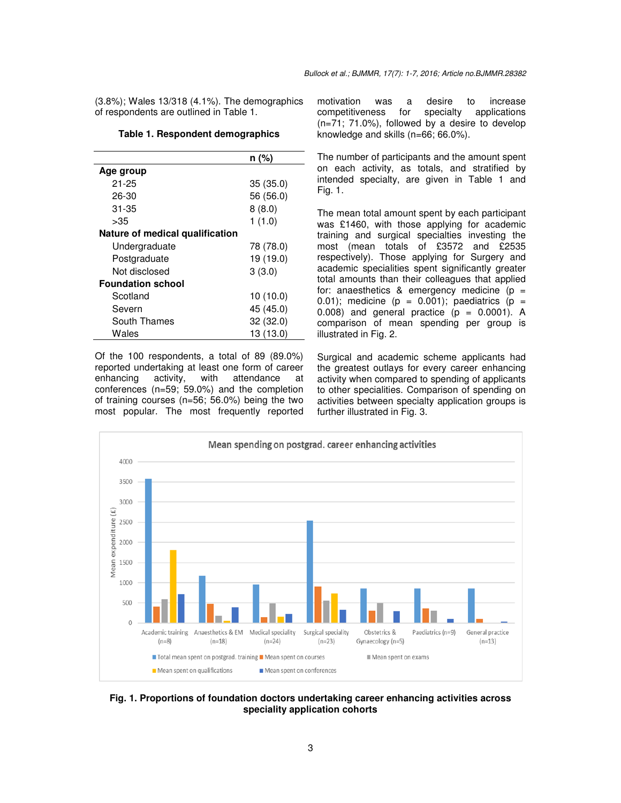(3.8%); Wales 13/318 (4.1%). The demographics of respondents are outlined in Table 1.

#### **Table 1. Respondent demographics**

|                                 | n (%)     |  |  |  |  |  |
|---------------------------------|-----------|--|--|--|--|--|
| Age group                       |           |  |  |  |  |  |
| 21-25                           | 35(35.0)  |  |  |  |  |  |
| 26-30                           | 56 (56.0) |  |  |  |  |  |
| $31 - 35$                       | 8(8.0)    |  |  |  |  |  |
| >35                             | 1(1.0)    |  |  |  |  |  |
| Nature of medical qualification |           |  |  |  |  |  |
| Undergraduate                   | 78 (78.0) |  |  |  |  |  |
| Postgraduate                    | 19 (19.0) |  |  |  |  |  |
| Not disclosed                   | 3(3.0)    |  |  |  |  |  |
| <b>Foundation school</b>        |           |  |  |  |  |  |
| Scotland                        | 10(10.0)  |  |  |  |  |  |
| Severn                          | 45 (45.0) |  |  |  |  |  |
| South Thames                    | 32(32.0)  |  |  |  |  |  |
| Wales                           | 13 (13.0) |  |  |  |  |  |

Of the 100 respondents, a total of 89 (89.0%) reported undertaking at least one form of career<br>enhancing activity, with attendance at attendance at conferences (n=59; 59.0%) and the completion of training courses (n=56; 56.0%) being the two most popular. The most frequently reported motivation was a desire to increase competitiveness for specialty applications (n=71; 71.0%), followed by a desire to develop knowledge and skills (n=66; 66.0%).

The number of participants and the amount spent on each activity, as totals, and stratified by intended specialty, are given in Table 1 and Fig. 1.

The mean total amount spent by each participant was £1460, with those applying for academic training and surgical specialties investing the most (mean totals of £3572 and £2535 respectively). Those applying for Surgery and academic specialities spent significantly greater total amounts than their colleagues that applied for: anaesthetics & emergency medicine ( $p =$ 0.01); medicine ( $p = 0.001$ ); paediatrics ( $p =$ 0.008) and general practice  $(p = 0.0001)$ . A comparison of mean spending per group is illustrated in Fig. 2.

Surgical and academic scheme applicants had the greatest outlays for every career enhancing activity when compared to spending of applicants to other specialities. Comparison of spending on activities between specialty application groups is further illustrated in Fig. 3.



**Fig. 1. Proportions of foundation doctors undertaking career enhancing activities across speciality application cohorts**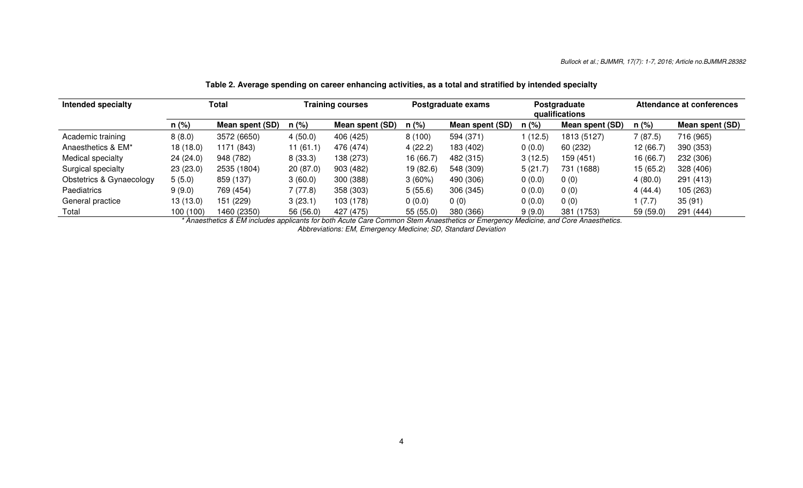| Table 2. Average spending on career enhancing activities, as a total and stratified by intended specialty |  |  |  |
|-----------------------------------------------------------------------------------------------------------|--|--|--|
|                                                                                                           |  |  |  |
|                                                                                                           |  |  |  |
|                                                                                                           |  |  |  |

| Intended specialty       |           | Total           |           | <b>Training courses</b> |           | Postgraduate exams |         | Postgraduate<br>qualifications |           | Attendance at conferences |  |
|--------------------------|-----------|-----------------|-----------|-------------------------|-----------|--------------------|---------|--------------------------------|-----------|---------------------------|--|
|                          | n (%)     | Mean spent (SD) | $n$ (%)   | Mean spent (SD)         | $n$ (%)   | Mean spent (SD)    | $n$ (%) | Mean spent (SD)                | $n$ (%)   | Mean spent (SD)           |  |
| Academic training        | 8(8.0)    | 3572 (6650)     | 4(50.0)   | 406 (425)               | 8(100)    | 594 (371)          | 1(12.5) | 1813 (5127)                    | 7(87.5)   | 716 (965)                 |  |
| Anaesthetics & EM*       | 18(18.0)  | 1171 (843)      | 11(61.1)  | 476 (474)               | 4(22.2)   | 183 (402)          | 0(0.0)  | 60 (232)                       | 12 (66.7  | 390 (353)                 |  |
| Medical specialty        | 24(24.0)  | 948 (782)       | 8(33.3)   | 138 (273)               | 16 (66.7) | 482 (315)          | 3(12.5) | 159 (451)                      | 16 (66.7  | 232 (306)                 |  |
| Surgical specialty       | 23(23.0)  | 2535 (1804)     | 20(87.0)  | 903 (482)               | 19 (82.6) | 548 (309)          | 5(21.7) | 731 (1688)                     | 15(65.2)  | 328 (406)                 |  |
| Obstetrics & Gynaecology | 5(5.0)    | 859 (137)       | 3(60.0)   | 300 (388)               | 3(60%)    | 490 (306)          | 0(0.0)  | 0(0)                           | 4(80.0)   | 291 (413)                 |  |
| <b>Paediatrics</b>       | 9(9.0)    | 769 (454)       | 7(77.8)   | 358 (303)               | 5(55.6)   | 306 (345)          | 0(0.0)  | 0(0)                           | 4(44.4)   | 105 (263)                 |  |
| General practice         | 13(13.0)  | 151 (229)       | 3(23.1)   | 103 (178)               | 0(0.0)    | 0(0)               | 0(0.0)  | 0(0)                           | (7.7)     | 35(91)                    |  |
| Total                    | 100 (100) | 1460 (2350)     | 56 (56.0) | 427 (475)               | 55(55.0)  | 380 (366)          | 9(9.0)  | 381 (1753)                     | 59 (59.0) | 291 (444)                 |  |

*\* Anaesthetics & EM includes applicants for both Acute Care Common Stem Anaesthetics or Emergency Medicine, and Core Anaesthetics. Abbreviations: EM, Emergency Medicine; SD, Standard Deviation*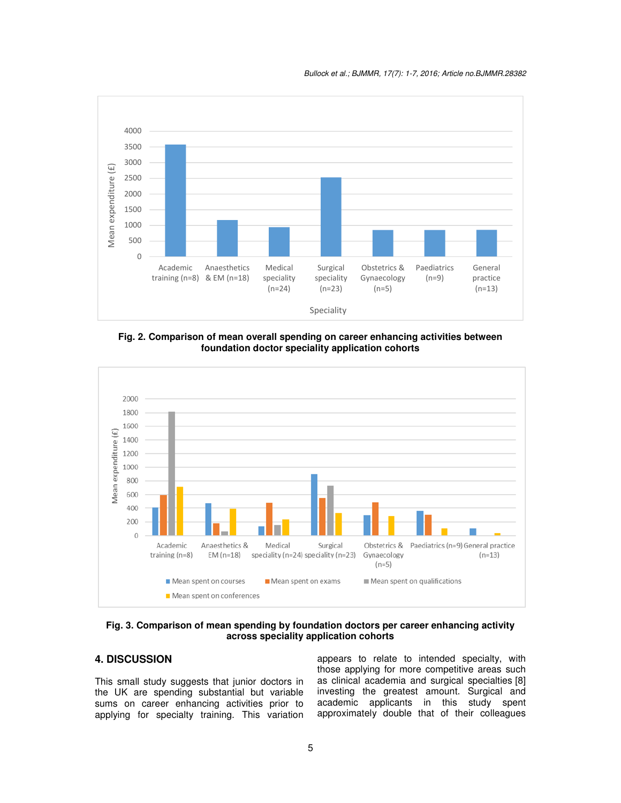*Bullock et al.; BJMMR, 17(7): 1-7, 2016; Article no.BJMMR.28382* 



**Fig. 2. Comparison of mean overall spending on career enhancing activities between foundation doctor speciality application cohorts** 



**Fig. 3. Comparison of mean spending by foundation doctors per career enhancing activity across speciality application cohorts** 

# **4. DISCUSSION**

This small study suggests that junior doctors in the UK are spending substantial but variable sums on career enhancing activities prior to applying for specialty training. This variation appears to relate to intended specialty, with those applying for more competitive areas such as clinical academia and surgical specialties [8] investing the greatest amount. Surgical and academic applicants in this study spent approximately double that of their colleagues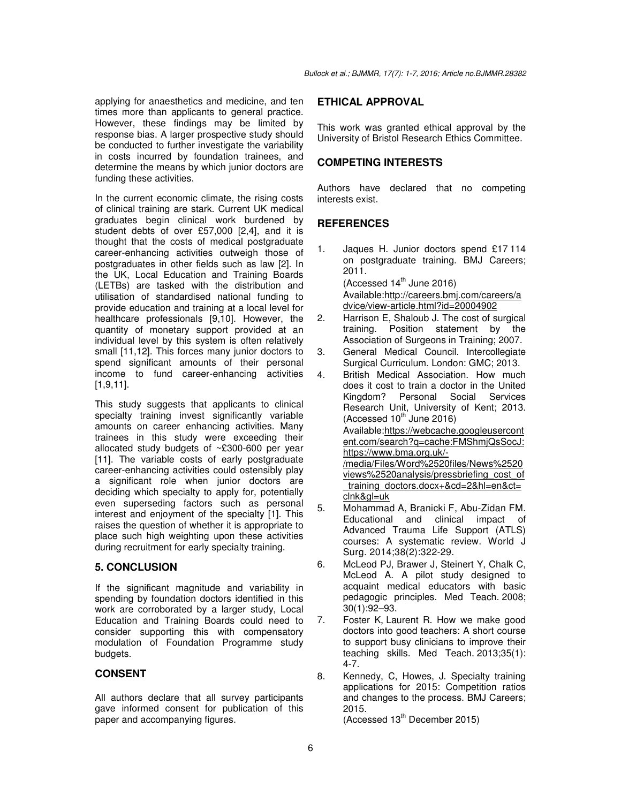applying for anaesthetics and medicine, and ten times more than applicants to general practice. However, these findings may be limited by response bias. A larger prospective study should be conducted to further investigate the variability in costs incurred by foundation trainees, and determine the means by which junior doctors are funding these activities.

In the current economic climate, the rising costs of clinical training are stark. Current UK medical graduates begin clinical work burdened by student debts of over £57,000 [2,4], and it is thought that the costs of medical postgraduate career-enhancing activities outweigh those of postgraduates in other fields such as law [2]. In the UK, Local Education and Training Boards (LETBs) are tasked with the distribution and utilisation of standardised national funding to provide education and training at a local level for healthcare professionals [9,10]. However, the quantity of monetary support provided at an individual level by this system is often relatively small [11,12]. This forces many junior doctors to spend significant amounts of their personal income to fund career-enhancing activities [1,9,11].

This study suggests that applicants to clinical specialty training invest significantly variable amounts on career enhancing activities. Many trainees in this study were exceeding their allocated study budgets of ~£300-600 per year [11]. The variable costs of early postgraduate career-enhancing activities could ostensibly play a significant role when junior doctors are deciding which specialty to apply for, potentially even superseding factors such as personal interest and enjoyment of the specialty [1]. This raises the question of whether it is appropriate to place such high weighting upon these activities during recruitment for early specialty training.

## **5. CONCLUSION**

If the significant magnitude and variability in spending by foundation doctors identified in this work are corroborated by a larger study, Local Education and Training Boards could need to consider supporting this with compensatory modulation of Foundation Programme study budgets.

# **CONSENT**

All authors declare that all survey participants gave informed consent for publication of this paper and accompanying figures.

# **ETHICAL APPROVAL**

This work was granted ethical approval by the University of Bristol Research Ethics Committee.

# **COMPETING INTERESTS**

Authors have declared that no competing interests exist.

# **REFERENCES**

1. Jaques H. Junior doctors spend £17 114 on postgraduate training. BMJ Careers; 2011. (Accessed  $14<sup>th</sup>$  June 2016) Available:http://careers.bmj.com/careers/a

dvice/view-article.html?id=20004902

- 2. Harrison E, Shaloub J. The cost of surgical training. Position statement by the Association of Surgeons in Training; 2007.
- 3. General Medical Council. Intercollegiate Surgical Curriculum. London: GMC; 2013.
- 4. British Medical Association. How much does it cost to train a doctor in the United Kingdom? Personal Social Services Research Unit, University of Kent; 2013.  $(A$ ccessed 10<sup>th</sup> June 2016) Available:https://webcache.googleusercont ent.com/search?q=cache:FMShmjQsSocJ: https://www.bma.org.uk/- /media/Files/Word%2520files/News%2520 views%2520analysis/pressbriefing\_cost\_of training\_doctors.docx+&cd=2&hl=en&ct= clnk&gl=uk
- 5. Mohammad A, Branicki F, Abu-Zidan FM. Educational and clinical impact of Advanced Trauma Life Support (ATLS) courses: A systematic review. World J Surg. 2014;38(2):322-29.
- 6. McLeod PJ, Brawer J, Steinert Y, Chalk C, McLeod A. A pilot study designed to acquaint medical educators with basic pedagogic principles. Med Teach. 2008; 30(1):92–93.
- 7. Foster K, Laurent R. How we make good doctors into good teachers: A short course to support busy clinicians to improve their teaching skills. Med Teach. 2013;35(1): 4-7.
- 8. Kennedy, C, Howes, J. Specialty training applications for 2015: Competition ratios and changes to the process. BMJ Careers; 2015. (Accessed  $13<sup>th</sup>$  December 2015)